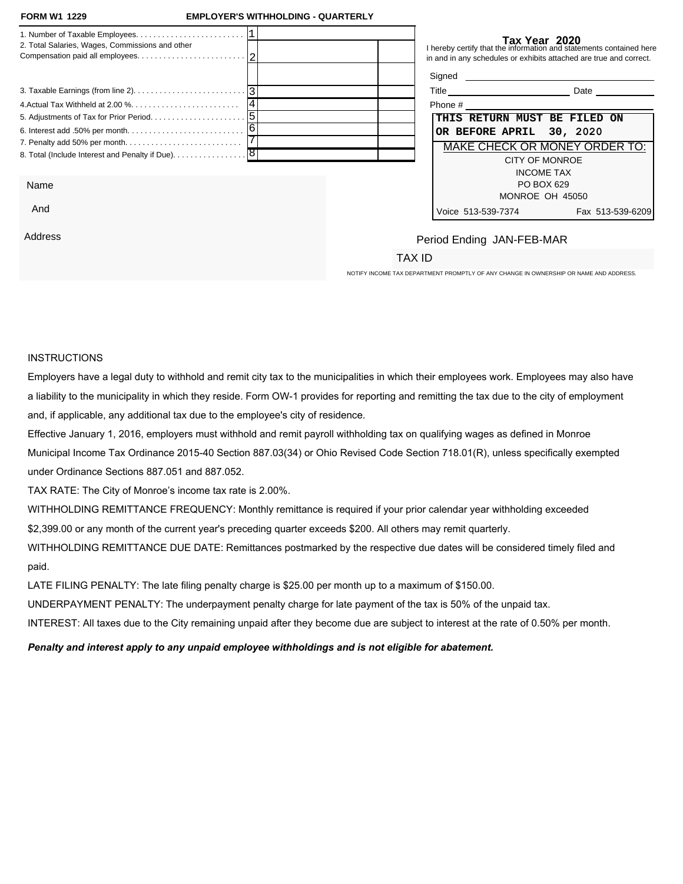|                                                                                       |                                            | I hereby certify that the information and statements contained here         |                  |
|---------------------------------------------------------------------------------------|--------------------------------------------|-----------------------------------------------------------------------------|------------------|
| 2. Total Salaries, Wages, Commissions and other                                       |                                            | in and in any schedules or exhibits attached are true and correct.          |                  |
|                                                                                       |                                            | Signed <b>Signed</b>                                                        |                  |
|                                                                                       |                                            |                                                                             |                  |
|                                                                                       |                                            |                                                                             |                  |
|                                                                                       |                                            | <b>DUE ON OR BEFORE</b>                                                     |                  |
| 8. Total (Include Interest and Penalty if Due). 8                                     |                                            | <b>APRIL 30, 2021</b>                                                       |                  |
| <b>Business Name &amp; Address</b>                                                    |                                            | MAKE CHECK OR MONEY ORDER TO:                                               |                  |
|                                                                                       | <b>Period Ending</b><br><b>JAN-FEB-MAR</b> | <b>CITY OF MONROE</b><br><b>INCOME TAX</b><br>PO BOX 629<br>MONROE OH 45050 |                  |
|                                                                                       |                                            | Voice 513-539-7374                                                          | Fax 513-539-6209 |
| NOTIFY INCOME TAX DEPARTMENT PROMPTLY OF ANY CHANGE IN OWNERSHIP OR NAME AND ADDRESS. | <b>TAX ID</b>                              |                                                                             |                  |

## INSTRUCTIONS:

Employers have a legal duty to withhold and remit city tax to the municipalities in which their employees work. Employees may also have a liability to the municipality in which they reside. Form OW-1 provides for reporting and remitting the tax due to the city of employment and, if applicable, any additional tax due to the employee's city of residence.

Effective January 1, 2016, employers must withhold and remit payroll withholding tax on qualifying wages as defined in Monroe Municipal Income Tax Ordinance 2015-40 Section 887.03(34) or Ohio Revised Code Section 718.01(R), unless specifically exempted under Ordinance Sections 887.051 and 887.052.

TAX RATE: The City of Monroe's income tax rate is 2.00%.

NON-FILING PENALTY: \$25.00 per month up to a maximum of \$150.00.

LATE PAYMENT PENALTY: 50% of the unpaid withholding tax.

INTEREST: 5% per year or 0.42% per month.

Penalty and interest apply to any unpaid employee withholdings and is not eligible for abatement.